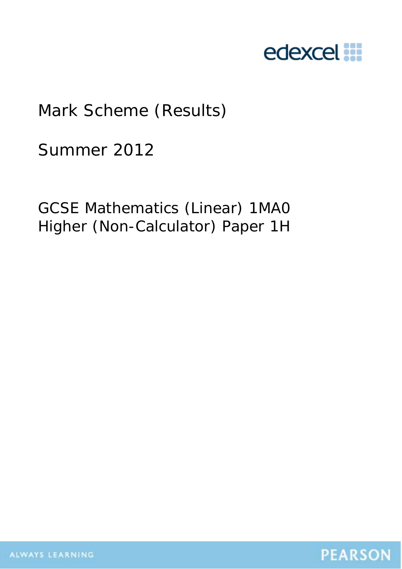

# Mark Scheme (Results)

Summer 2012

GCSE Mathematics (Linear) 1MA0 Higher (Non-Calculator) Paper 1H

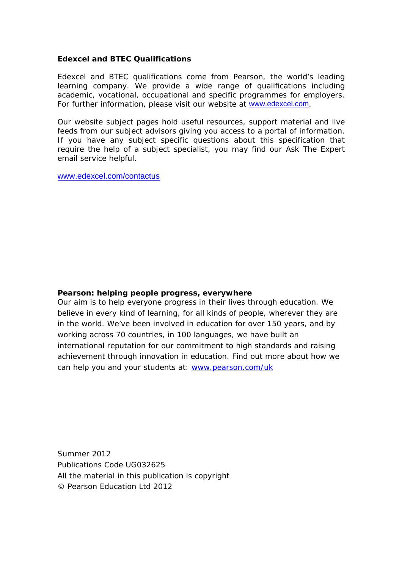# **Edexcel and BTEC Qualifications**

Edexcel and BTEC qualifications come from Pearson, the world's leading learning company. We provide a wide range of qualifications including academic, vocational, occupational and specific programmes for employers. For further information, please visit our website at www.edexcel.com.

Our website subject pages hold useful resources, support material and live feeds from our subject advisors giving you access to a portal of information. If you have any subject specific questions about this specification that require the help of a subject specialist, you may find our Ask The Expert email service helpful.

www.edexcel.com/contactus

# **Pearson: helping people progress, everywhere**

Our aim is to help everyone progress in their lives through education. We believe in every kind of learning, for all kinds of people, wherever they are in the world. We've been involved in education for over 150 years, and by working across 70 countries, in 100 languages, we have built an international reputation for our commitment to high standards and raising achievement through innovation in education. Find out more about how we can help you and your students at: www.pearson.com/uk

Summer 2012 Publications Code UG032625 All the material in this publication is copyright © Pearson Education Ltd 2012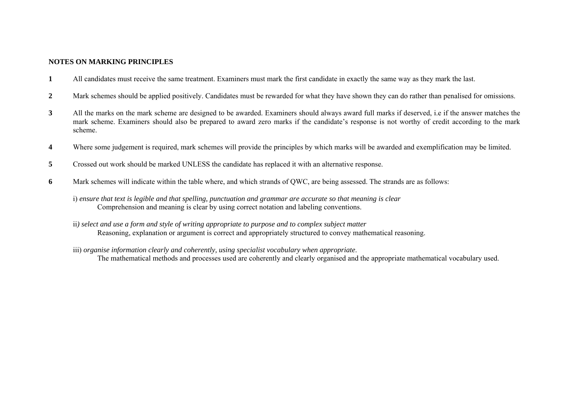### **NOTES ON MARKING PRINCIPLES**

- **1** All candidates must receive the same treatment. Examiners must mark the first candidate in exactly the same way as they mark the last.
- **2** Mark schemes should be applied positively. Candidates must be rewarded for what they have shown they can do rather than penalised for omissions.
- **3** All the marks on the mark scheme are designed to be awarded. Examiners should always award full marks if deserved, i.e if the answer matches the mark scheme. Examiners should also be prepared to award zero marks if the candidate's response is not worthy of credit according to the mark scheme.
- **4** Where some judgement is required, mark schemes will provide the principles by which marks will be awarded and exemplification may be limited.
- **5** Crossed out work should be marked UNLESS the candidate has replaced it with an alternative response.
- **6** Mark schemes will indicate within the table where, and which strands of QWC, are being assessed. The strands are as follows:
	- i) *ensure that text is legible and that spelling, punctuation and grammar are accurate so that meaning is clear* Comprehension and meaning is clear by using correct notation and labeling conventions.
	- ii*) select and use a form and style of writing appropriate to purpose and to complex subject matter* Reasoning, explanation or argument is correct and appropriately structured to convey mathematical reasoning.
	- iii) *organise information clearly and coherently, using specialist vocabulary when appropriate*. The mathematical methods and processes used are coherently and clearly organised and the appropriate mathematical vocabulary used.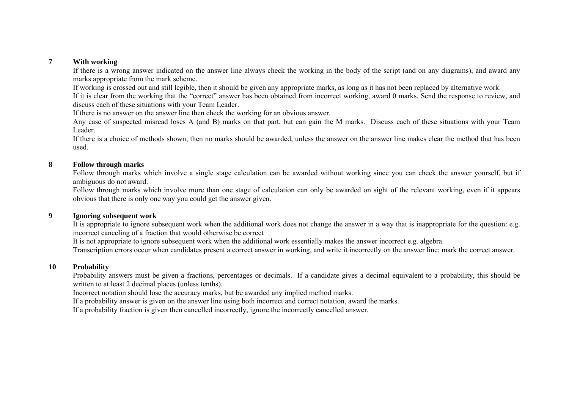#### **7With working**

If there is a wrong answer indicated on the answer line always check the working in the body of the script (and on any diagrams), and award any marks appropriate from the mark scheme.

If working is crossed out and still legible, then it should be given any appropriate marks, as long as it has not been replaced by alternative work.

If it is clear from the working that the "correct" answer has been obtained from incorrect working, award 0 marks. Send the response to review, and discuss each of these situations with your Team Leader.

If there is no answer on the answer line then check the working for an obvious answer.

Any case of suspected misread loses A (and B) marks on that part, but can gain the M marks. Discuss each of these situations with your Team Leader.

If there is a choice of methods shown, then no marks should be awarded, unless the answer on the answer line makes clear the method that has been used.

#### **8Follow through marks**

Follow through marks which involve a single stage calculation can be awarded without working since you can check the answer yourself, but if ambiguous do not award.

Follow through marks which involve more than one stage of calculation can only be awarded on sight of the relevant working, even if it appears obvious that there is only one way you could get the answer given.

#### **9Ignoring subsequent work**

It is appropriate to ignore subsequent work when the additional work does not change the answer in a way that is inappropriate for the question: e.g. incorrect canceling of a fraction that would otherwise be correct

It is not appropriate to ignore subsequent work when the additional work essentially makes the answer incorrect e.g. algebra.

Transcription errors occur when candidates present a correct answer in working, and write it incorrectly on the answer line; mark the correct answer.

#### **10Probability**

Probability answers must be given a fractions, percentages or decimals. If a candidate gives a decimal equivalent to a probability, this should be written to at least 2 decimal places (unless tenths).

Incorrect notation should lose the accuracy marks, but be awarded any implied method marks.

If a probability answer is given on the answer line using both incorrect and correct notation, award the marks.

If a probability fraction is given then cancelled incorrectly, ignore the incorrectly cancelled answer.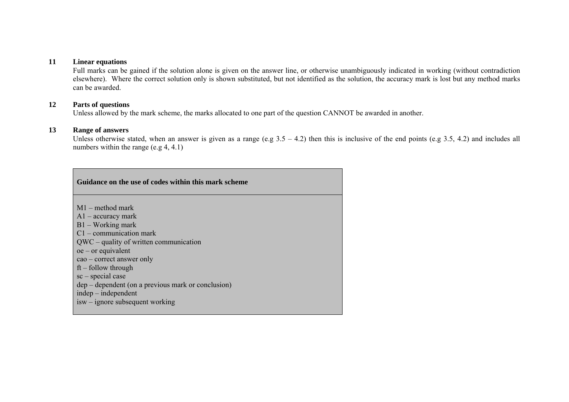#### **11Linear equations**

Full marks can be gained if the solution alone is given on the answer line, or otherwise unambiguously indicated in working (without contradiction elsewhere). Where the correct solution only is shown substituted, but not identified as the solution, the accuracy mark is lost but any method marks can be awarded.

## **12 Parts of questions**

Unless allowed by the mark scheme, the marks allocated to one part of the question CANNOT be awarded in another.

### **13 Range of answers**

Unless otherwise stated, when an answer is given as a range (e.g  $3.5 - 4.2$ ) then this is inclusive of the end points (e.g 3.5, 4.2) and includes all numbers within the range (e.g 4, 4.1)

| Guidance on the use of codes within this mark scheme                                                                                                                                                                                                                                                                              |
|-----------------------------------------------------------------------------------------------------------------------------------------------------------------------------------------------------------------------------------------------------------------------------------------------------------------------------------|
| $M1$ – method mark<br>$A1$ – accuracy mark<br>$B1 - Working$ mark<br>$C1$ – communication mark<br>$QWC - quality of written communication$<br>$oe$ – or equivalent<br>$\cos$ – correct answer only<br>$ft$ – follow through<br>$sc$ – special case<br>dep – dependent (on a previous mark or conclusion)<br>$indep - independent$ |
| $isw$ – ignore subsequent working                                                                                                                                                                                                                                                                                                 |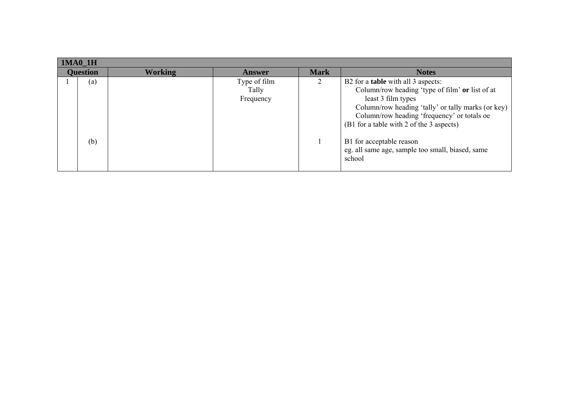| <b>Working</b><br><b>Mark</b><br><b>Question</b><br><b>Notes</b><br>Answer<br>B2 for a <b>table</b> with all 3 aspects:<br>Type of film<br>(a)<br>Tally<br>least 3 film types<br>Frequency | $1MA0_1H$ |  |                                                                                                                                                                                                                                                      |
|--------------------------------------------------------------------------------------------------------------------------------------------------------------------------------------------|-----------|--|------------------------------------------------------------------------------------------------------------------------------------------------------------------------------------------------------------------------------------------------------|
|                                                                                                                                                                                            |           |  |                                                                                                                                                                                                                                                      |
| (b)<br>B1 for acceptable reason<br>school                                                                                                                                                  |           |  | Column/row heading 'type of film' or list of at<br>Column/row heading 'tally' or tally marks (or key)<br>Column/row heading 'frequency' or totals oe<br>(B1 for a table with 2 of the 3 aspects)<br>eg. all same age, sample too small, biased, same |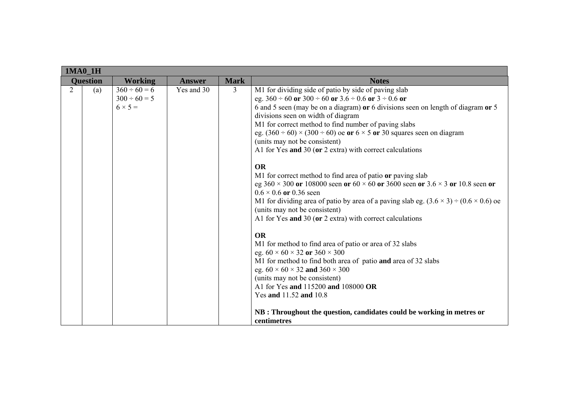| $1MA0_1H$      |                 |                                                          |               |             |                                                                                                                                                                                                                                                                                                                                                                                                                                                                                                                                                                                                                                                                                                                                                                                                                                                                                                                                                                                                                                                                                                                                                                                                                                                                                         |
|----------------|-----------------|----------------------------------------------------------|---------------|-------------|-----------------------------------------------------------------------------------------------------------------------------------------------------------------------------------------------------------------------------------------------------------------------------------------------------------------------------------------------------------------------------------------------------------------------------------------------------------------------------------------------------------------------------------------------------------------------------------------------------------------------------------------------------------------------------------------------------------------------------------------------------------------------------------------------------------------------------------------------------------------------------------------------------------------------------------------------------------------------------------------------------------------------------------------------------------------------------------------------------------------------------------------------------------------------------------------------------------------------------------------------------------------------------------------|
|                | <b>Ouestion</b> | <b>Working</b>                                           | <b>Answer</b> | <b>Mark</b> | <b>Notes</b>                                                                                                                                                                                                                                                                                                                                                                                                                                                                                                                                                                                                                                                                                                                                                                                                                                                                                                                                                                                                                                                                                                                                                                                                                                                                            |
| $\overline{2}$ | (a)             | $360 \div 60 = 6$<br>$300 \div 60 = 5$<br>$6 \times 5 =$ | Yes and 30    | 3           | M1 for dividing side of patio by side of paving slab<br>eg. $360 \div 60$ or $300 \div 60$ or $3.6 \div 0.6$ or $3 \div 0.6$ or<br>6 and 5 seen (may be on a diagram) or 6 divisions seen on length of diagram or 5<br>divisions seen on width of diagram<br>M1 for correct method to find number of paving slabs<br>eg. $(360 \div 60) \times (300 \div 60)$ oe or $6 \times 5$ or 30 squares seen on diagram<br>(units may not be consistent)<br>A1 for Yes and 30 (or 2 extra) with correct calculations<br><b>OR</b><br>M1 for correct method to find area of patio or paving slab<br>eg $360 \times 300$ or 108000 seen or $60 \times 60$ or 3600 seen or $3.6 \times 3$ or 10.8 seen or<br>$0.6 \times 0.6$ or 0.36 seen<br>M1 for dividing area of patio by area of a paving slab eg. $(3.6 \times 3) \div (0.6 \times 0.6)$ oe<br>(units may not be consistent)<br>A1 for Yes and 30 (or 2 extra) with correct calculations<br><b>OR</b><br>M1 for method to find area of patio or area of 32 slabs<br>eg. $60 \times 60 \times 32$ or $360 \times 300$<br>M1 for method to find both area of patio and area of 32 slabs<br>eg. $60 \times 60 \times 32$ and $360 \times 300$<br>(units may not be consistent)<br>A1 for Yes and 115200 and 108000 OR<br>Yes and 11.52 and 10.8 |
|                |                 |                                                          |               |             | NB : Throughout the question, candidates could be working in metres or                                                                                                                                                                                                                                                                                                                                                                                                                                                                                                                                                                                                                                                                                                                                                                                                                                                                                                                                                                                                                                                                                                                                                                                                                  |
|                |                 |                                                          |               |             | centimetres                                                                                                                                                                                                                                                                                                                                                                                                                                                                                                                                                                                                                                                                                                                                                                                                                                                                                                                                                                                                                                                                                                                                                                                                                                                                             |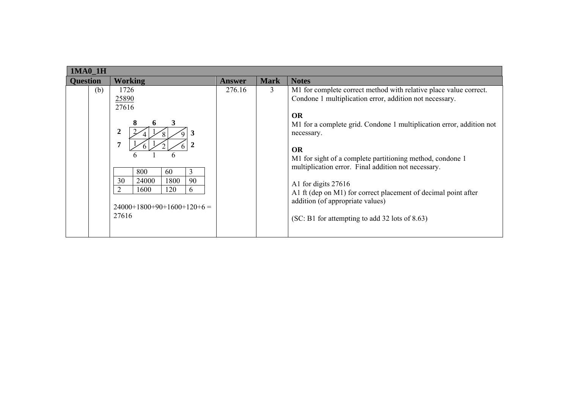|                 | <b>1MA0 1H</b> |                                                                                                                                                            |               |             |                                                                                                                                                                                                                                                                                                                                                                                                                                                                                                                                                 |  |  |  |  |
|-----------------|----------------|------------------------------------------------------------------------------------------------------------------------------------------------------------|---------------|-------------|-------------------------------------------------------------------------------------------------------------------------------------------------------------------------------------------------------------------------------------------------------------------------------------------------------------------------------------------------------------------------------------------------------------------------------------------------------------------------------------------------------------------------------------------------|--|--|--|--|
| <b>Question</b> |                | <b>Working</b>                                                                                                                                             | <b>Answer</b> | <b>Mark</b> | <b>Notes</b>                                                                                                                                                                                                                                                                                                                                                                                                                                                                                                                                    |  |  |  |  |
|                 | (b)            | 1726<br>25890<br>27616<br>3<br>2<br>7<br>6<br>800<br>60<br>3<br>90<br>30<br>24000<br>1800<br>1600<br>120<br>2<br>6<br>$24000+1800+90+1600+120+6=$<br>27616 | 276.16        | 3           | M1 for complete correct method with relative place value correct.<br>Condone 1 multiplication error, addition not necessary.<br><b>OR</b><br>M1 for a complete grid. Condone 1 multiplication error, addition not<br>necessary.<br><b>OR</b><br>M1 for sight of a complete partitioning method, condone 1<br>multiplication error. Final addition not necessary.<br>A1 for digits 27616<br>A1 ft (dep on M1) for correct placement of decimal point after<br>addition (of appropriate values)<br>(SC: B1 for attempting to add 32 lots of 8.63) |  |  |  |  |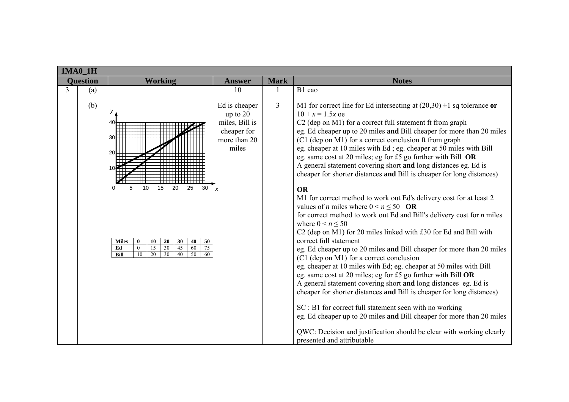|                 | <b>1MA0 1H</b> |                                                                                                                                                                                                                                     |                                                                                                                 |                |                                                                                                                                                                                                                                                                                                                                                                                                                                                                                                                                                                                                                                                                                                                                                                                                                                                                                                                                                                                                                                                                                                                                                                                                                                                                                                                                                                                   |  |  |  |
|-----------------|----------------|-------------------------------------------------------------------------------------------------------------------------------------------------------------------------------------------------------------------------------------|-----------------------------------------------------------------------------------------------------------------|----------------|-----------------------------------------------------------------------------------------------------------------------------------------------------------------------------------------------------------------------------------------------------------------------------------------------------------------------------------------------------------------------------------------------------------------------------------------------------------------------------------------------------------------------------------------------------------------------------------------------------------------------------------------------------------------------------------------------------------------------------------------------------------------------------------------------------------------------------------------------------------------------------------------------------------------------------------------------------------------------------------------------------------------------------------------------------------------------------------------------------------------------------------------------------------------------------------------------------------------------------------------------------------------------------------------------------------------------------------------------------------------------------------|--|--|--|
| <b>Ouestion</b> |                | <b>Working</b>                                                                                                                                                                                                                      | <b>Answer</b>                                                                                                   | <b>Mark</b>    | <b>Notes</b>                                                                                                                                                                                                                                                                                                                                                                                                                                                                                                                                                                                                                                                                                                                                                                                                                                                                                                                                                                                                                                                                                                                                                                                                                                                                                                                                                                      |  |  |  |
| $\overline{3}$  | (a)<br>(b)     | $\Omega$<br>5<br>10<br>15<br>30<br>20<br>25<br><b>Miles</b><br>20<br>30<br>40<br>50<br>$\mathbf{0}$<br>10<br>15<br>30<br>45<br>75<br>Ed<br>60<br>$\mathbf{0}$<br>30<br>10<br>$\overline{20}$<br>40<br>$\overline{50}$<br>Bill<br>60 | 10<br>Ed is cheaper<br>up to $20$<br>miles, Bill is<br>cheaper for<br>more than 20<br>miles<br>$\boldsymbol{x}$ | $\overline{3}$ | B1 cao<br>M1 for correct line for Ed intersecting at $(20,30) \pm 1$ sq tolerance or<br>$10 + x = 1.5x$ oe<br>C <sub>2</sub> (dep on M <sub>1</sub> ) for a correct full statement ft from graph<br>eg. Ed cheaper up to 20 miles and Bill cheaper for more than 20 miles<br>(C1 (dep on M1) for a correct conclusion ft from graph<br>eg. cheaper at 10 miles with Ed; eg. cheaper at 50 miles with Bill<br>eg. same cost at 20 miles; eg for £5 go further with Bill OR<br>A general statement covering short and long distances eg. Ed is<br>cheaper for shorter distances and Bill is cheaper for long distances)<br><b>OR</b><br>M1 for correct method to work out Ed's delivery cost for at least 2<br>values of <i>n</i> miles where $0 \le n \le 50$ OR<br>for correct method to work out Ed and Bill's delivery cost for <i>n</i> miles<br>where $0 \le n \le 50$<br>C2 (dep on M1) for 20 miles linked with £30 for Ed and Bill with<br>correct full statement<br>eg. Ed cheaper up to 20 miles and Bill cheaper for more than 20 miles<br>$(C1$ (dep on M1) for a correct conclusion<br>eg. cheaper at 10 miles with Ed; eg. cheaper at 50 miles with Bill<br>eg. same cost at 20 miles; eg for £5 go further with Bill OR<br>A general statement covering short and long distances eg. Ed is<br>cheaper for shorter distances and Bill is cheaper for long distances) |  |  |  |
|                 |                |                                                                                                                                                                                                                                     |                                                                                                                 |                | SC : B1 for correct full statement seen with no working<br>eg. Ed cheaper up to 20 miles and Bill cheaper for more than 20 miles<br>QWC: Decision and justification should be clear with working clearly<br>presented and attributable                                                                                                                                                                                                                                                                                                                                                                                                                                                                                                                                                                                                                                                                                                                                                                                                                                                                                                                                                                                                                                                                                                                                            |  |  |  |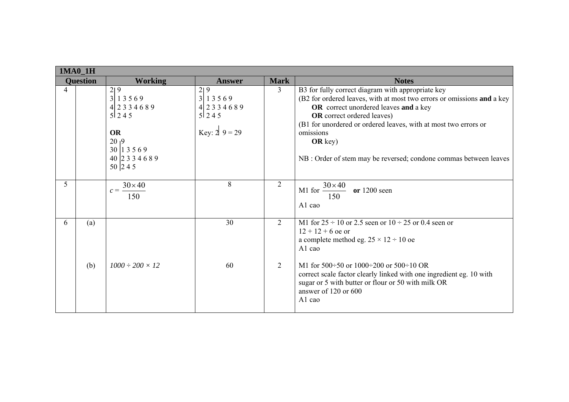|   | <b>1MA0 1H</b>  |                                                                                                                          |                                                                                                                |                |                                                                                                                                                                                                                                                                                                                                                                              |  |  |  |
|---|-----------------|--------------------------------------------------------------------------------------------------------------------------|----------------------------------------------------------------------------------------------------------------|----------------|------------------------------------------------------------------------------------------------------------------------------------------------------------------------------------------------------------------------------------------------------------------------------------------------------------------------------------------------------------------------------|--|--|--|
|   | <b>Question</b> | <b>Working</b>                                                                                                           | <b>Answer</b>                                                                                                  | <b>Mark</b>    | <b>Notes</b>                                                                                                                                                                                                                                                                                                                                                                 |  |  |  |
| 4 |                 | 2 9<br>3 13569<br>$4$ 2 3 3 4 6 8 9<br>51245<br><b>OR</b><br>20 <sub>1</sub> 9<br>30 13569<br>40 2 3 3 4 6 8 9<br>50 245 | $\begin{array}{c} 2 & 9 \\ 3 & 1 & 3 & 5 & 6 & 9 \end{array}$<br>4 2 3 3 4 6 8 9<br>51245<br>Key: $2 \ 9 = 29$ | 3              | B3 for fully correct diagram with appropriate key<br>(B2 for ordered leaves, with at most two errors or omissions and a key<br>OR correct unordered leaves and a key<br><b>OR</b> correct ordered leaves)<br>(B1 for unordered or ordered leaves, with at most two errors or<br>omissions<br>OR key $)$<br>NB : Order of stem may be reversed; condone commas between leaves |  |  |  |
| 5 |                 | $30 \times 40$<br>$c = \frac{3}{2}$<br>150                                                                               | 8                                                                                                              | $\overline{2}$ | M1 for $\frac{30 \times 40}{ }$<br>or $1200$ seen<br>150<br>A1 cao                                                                                                                                                                                                                                                                                                           |  |  |  |
| 6 | (a)             |                                                                                                                          | 30                                                                                                             | 2              | M1 for $25 \div 10$ or 2.5 seen or $10 \div 25$ or 0.4 seen or<br>$12 + 12 + 6$ oe or<br>a complete method eg. $25 \times 12 \div 10$ oe<br>A1 cao                                                                                                                                                                                                                           |  |  |  |
|   | (b)             | $1000 \div 200 \times 12$                                                                                                | 60                                                                                                             | 2              | M1 for $500 \div 50$ or $1000 \div 200$ or $500 \div 10$ OR<br>correct scale factor clearly linked with one ingredient eg. 10 with<br>sugar or 5 with butter or flour or 50 with milk OR<br>answer of 120 or 600<br>A1 cao                                                                                                                                                   |  |  |  |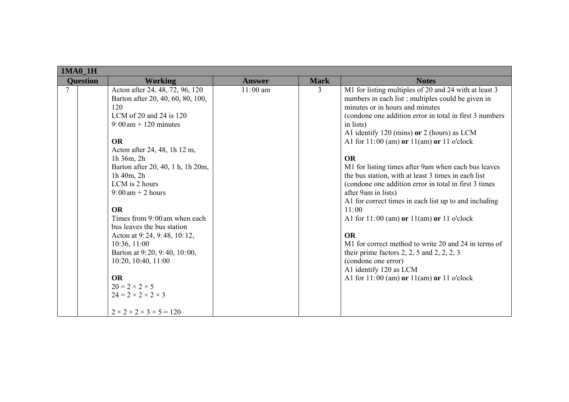| 1MA0_1H         |                                                                                                                                                                                                                                                                                                                                                                                                                                                                                                                                                                                                                                                |               |             |                                                                                                                                                                                                                                                                                                                                                                                                                                                                                                                                                                                                                                                                                                                                                                                                                                                                                       |  |  |
|-----------------|------------------------------------------------------------------------------------------------------------------------------------------------------------------------------------------------------------------------------------------------------------------------------------------------------------------------------------------------------------------------------------------------------------------------------------------------------------------------------------------------------------------------------------------------------------------------------------------------------------------------------------------------|---------------|-------------|---------------------------------------------------------------------------------------------------------------------------------------------------------------------------------------------------------------------------------------------------------------------------------------------------------------------------------------------------------------------------------------------------------------------------------------------------------------------------------------------------------------------------------------------------------------------------------------------------------------------------------------------------------------------------------------------------------------------------------------------------------------------------------------------------------------------------------------------------------------------------------------|--|--|
| <b>Ouestion</b> | <b>Working</b>                                                                                                                                                                                                                                                                                                                                                                                                                                                                                                                                                                                                                                 | <b>Answer</b> | <b>Mark</b> | <b>Notes</b>                                                                                                                                                                                                                                                                                                                                                                                                                                                                                                                                                                                                                                                                                                                                                                                                                                                                          |  |  |
| 7               | Acton after 24, 48, 72, 96, 120<br>Barton after 20, 40, 60, 80, 100,<br>120<br>LCM of 20 and 24 is $120$<br>$9:00 \text{ am} + 120 \text{ minutes}$<br><b>OR</b><br>Acton after 24, 48, 1h 12 m,<br>1h 36m, 2h<br>Barton after 20, 40, 1 h, 1h 20m,<br>1h 40m, 2h<br>LCM is 2 hours<br>$9:00 \text{ am} + 2 \text{ hours}$<br><b>OR</b><br>Times from 9:00 am when each<br>bus leaves the bus station<br>Acton at 9:24, 9:48, 10:12,<br>10:36, 11:00<br>Barton at 9:20, 9:40, 10:00,<br>10:20, 10:40, 11:00<br><b>OR</b><br>$20 = 2 \times 2 \times 5$<br>$24 = 2 \times 2 \times 2 \times 3$<br>$2 \times 2 \times 2 \times 3 \times 5 = 120$ | $11:00$ am    | 3           | M1 for listing multiples of 20 and 24 with at least 3<br>numbers in each list; multiples could be given in<br>minutes or in hours and minutes<br>(condone one addition error in total in first 3 numbers<br>in lists)<br>A1 identify 120 (mins) or 2 (hours) as LCM<br>A1 for $11:00$ (am) or $11$ (am) or $11$ o'clock<br><b>OR</b><br>M1 for listing times after 9am when each bus leaves<br>the bus station, with at least 3 times in each list<br>(condone one addition error in total in first 3 times)<br>after 9am in lists)<br>A1 for correct times in each list up to and including<br>11:00<br>A1 for $11:00$ (am) or $11$ (am) or $11$ o'clock<br><b>OR</b><br>M1 for correct method to write 20 and 24 in terms of<br>their prime factors $2, 2, 5$ and $2, 2, 2, 3$<br>(condone one error)<br>A1 identify 120 as LCM<br>A1 for $11:00$ (am) or $11$ (am) or $11$ o'clock |  |  |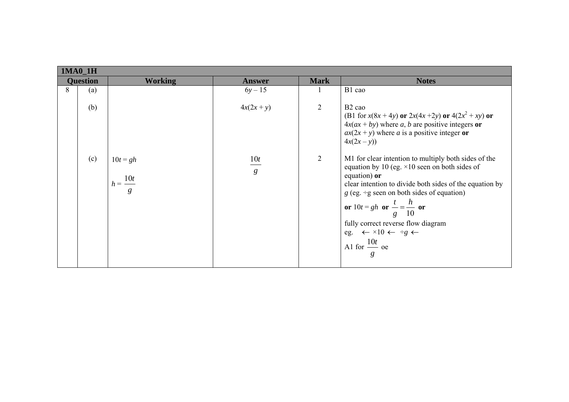|                 | 1MA0_1H |                                             |                                   |                |                                                                                                                                                                                                                                                                                                                                                                                                                                |  |  |  |  |
|-----------------|---------|---------------------------------------------|-----------------------------------|----------------|--------------------------------------------------------------------------------------------------------------------------------------------------------------------------------------------------------------------------------------------------------------------------------------------------------------------------------------------------------------------------------------------------------------------------------|--|--|--|--|
| <b>Question</b> |         | <b>Working</b>                              | <b>Answer</b>                     | <b>Mark</b>    | <b>Notes</b>                                                                                                                                                                                                                                                                                                                                                                                                                   |  |  |  |  |
| 8               | (a)     |                                             | $6y - 15$                         |                | B1 cao                                                                                                                                                                                                                                                                                                                                                                                                                         |  |  |  |  |
|                 | (b)     |                                             | $4x(2x + y)$                      | $\overline{2}$ | B <sub>2</sub> cao<br>(B1 for $x(8x + 4y)$ or $2x(4x + 2y)$ or $4(2x^2 + xy)$ or<br>$4x(ax + by)$ where a, b are positive integers or<br>$ax(2x + y)$ where a is a positive integer or<br>$4x(2x - y)$                                                                                                                                                                                                                         |  |  |  |  |
|                 | (c)     | $10t = gh$<br>$h=\frac{10t}{\sqrt{2}}$<br>g | $\frac{10t}{ }$<br>$\mathfrak{g}$ | 2              | M1 for clear intention to multiply both sides of the<br>equation by 10 (eg. $\times$ 10 seen on both sides of<br>equation) or<br>clear intention to divide both sides of the equation by<br>$g$ (eg. ÷g seen on both sides of equation)<br>or $10t = gh$ or $\frac{t}{g} = \frac{h}{10}$ or<br>fully correct reverse flow diagram<br>eg. $\leftarrow \times 10 \leftarrow \div g \leftarrow$<br>A1 for $\frac{10t}{ }$ oe<br>g |  |  |  |  |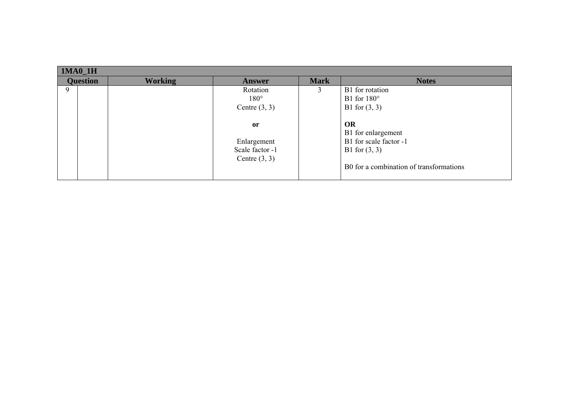| $1MA0_1H$       |                |                 |             |                                         |  |  |  |  |
|-----------------|----------------|-----------------|-------------|-----------------------------------------|--|--|--|--|
| <b>Question</b> | <b>Working</b> | <b>Answer</b>   | <b>Mark</b> | <b>Notes</b>                            |  |  |  |  |
| 9               |                | Rotation        |             | B1 for rotation                         |  |  |  |  |
|                 |                | $180^\circ$     |             | B1 for $180^\circ$                      |  |  |  |  |
|                 |                | Centre $(3, 3)$ |             | B1 for $(3, 3)$                         |  |  |  |  |
|                 |                |                 |             |                                         |  |  |  |  |
|                 |                | or              |             | OR                                      |  |  |  |  |
|                 |                |                 |             | B1 for enlargement                      |  |  |  |  |
|                 |                | Enlargement     |             | B1 for scale factor -1                  |  |  |  |  |
|                 |                | Scale factor -1 |             | B1 for $(3, 3)$                         |  |  |  |  |
|                 |                | Centre $(3, 3)$ |             |                                         |  |  |  |  |
|                 |                |                 |             | B0 for a combination of transformations |  |  |  |  |
|                 |                |                 |             |                                         |  |  |  |  |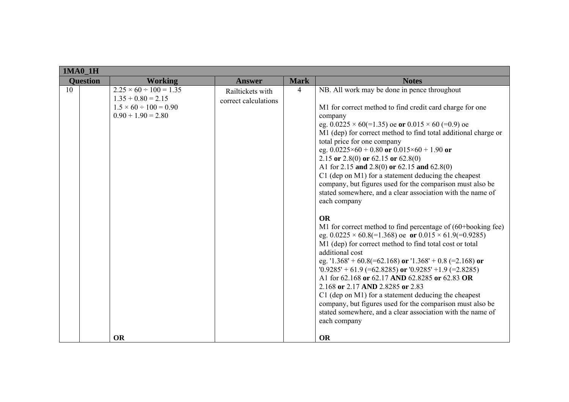| 1MA0_1H |                                                                                                                     |                                          |             |                                                                                                                                                                                                                                                                                                                                                                                                                                                                                                                                                                                                                                                                                                                                                                                                                                                                                                                                                                                                                                                                                                                                                                                                                                                                                                              |
|---------|---------------------------------------------------------------------------------------------------------------------|------------------------------------------|-------------|--------------------------------------------------------------------------------------------------------------------------------------------------------------------------------------------------------------------------------------------------------------------------------------------------------------------------------------------------------------------------------------------------------------------------------------------------------------------------------------------------------------------------------------------------------------------------------------------------------------------------------------------------------------------------------------------------------------------------------------------------------------------------------------------------------------------------------------------------------------------------------------------------------------------------------------------------------------------------------------------------------------------------------------------------------------------------------------------------------------------------------------------------------------------------------------------------------------------------------------------------------------------------------------------------------------|
|         | <b>Ouestion</b><br><b>Working</b>                                                                                   | <b>Answer</b>                            | <b>Mark</b> | <b>Notes</b>                                                                                                                                                                                                                                                                                                                                                                                                                                                                                                                                                                                                                                                                                                                                                                                                                                                                                                                                                                                                                                                                                                                                                                                                                                                                                                 |
| 10      | $2.25 \times 60 \div 100 = 1.35$<br>$1.35 + 0.80 = 2.15$<br>$1.5 \times 60 \div 100 = 0.90$<br>$0.90 + 1.90 = 2.80$ | Railtickets with<br>correct calculations | 4           | NB. All work may be done in pence throughout<br>M1 for correct method to find credit card charge for one<br>company<br>eg. $0.0225 \times 60 (=1.35)$ oe or $0.015 \times 60 (=0.9)$ oe<br>M1 (dep) for correct method to find total additional charge or<br>total price for one company<br>eg. $0.0225 \times 60 + 0.80$ or $0.015 \times 60 + 1.90$ or<br>2.15 or 2.8(0) or 62.15 or 62.8(0)<br>A1 for 2.15 and 2.8(0) or 62.15 and 62.8(0)<br>C1 (dep on M1) for a statement deducing the cheapest<br>company, but figures used for the comparison must also be<br>stated somewhere, and a clear association with the name of<br>each company<br><b>OR</b><br>M1 for correct method to find percentage of (60+booking fee)<br>eg. $0.0225 \times 60.8 (= 1.368)$ oe or $0.015 \times 61.9 (= 0.9285)$<br>M1 (dep) for correct method to find total cost or total<br>additional cost<br>eg. $1.368' + 60.8 (= 62.168)$ or $1.368' + 0.8 (= 2.168)$ or<br>$0.9285' + 61.9$ (=62.8285) or $0.9285' + 1.9$ (=2.8285)<br>A1 for 62.168 or 62.17 AND 62.8285 or 62.83 OR<br>2.168 or 2.17 AND 2.8285 or 2.83<br>C1 (dep on M1) for a statement deducing the cheapest<br>company, but figures used for the comparison must also be<br>stated somewhere, and a clear association with the name of<br>each company |
|         | <b>OR</b>                                                                                                           |                                          |             | <b>OR</b>                                                                                                                                                                                                                                                                                                                                                                                                                                                                                                                                                                                                                                                                                                                                                                                                                                                                                                                                                                                                                                                                                                                                                                                                                                                                                                    |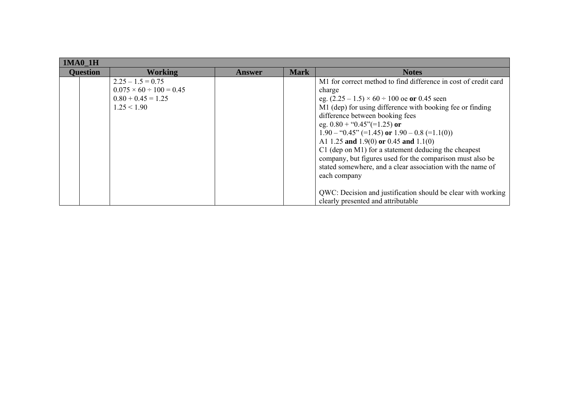| <b>1MA0 1H</b>  |                                                                                                 |               |             |                                                                                                                                                                                                                                                                                                                                                                                                                                                                                                                                                                                                                                                                                     |  |  |  |  |
|-----------------|-------------------------------------------------------------------------------------------------|---------------|-------------|-------------------------------------------------------------------------------------------------------------------------------------------------------------------------------------------------------------------------------------------------------------------------------------------------------------------------------------------------------------------------------------------------------------------------------------------------------------------------------------------------------------------------------------------------------------------------------------------------------------------------------------------------------------------------------------|--|--|--|--|
| <b>Question</b> | <b>Working</b>                                                                                  | <b>Answer</b> | <b>Mark</b> | <b>Notes</b>                                                                                                                                                                                                                                                                                                                                                                                                                                                                                                                                                                                                                                                                        |  |  |  |  |
|                 | $2.25 - 1.5 = 0.75$<br>$0.075 \times 60 \div 100 = 0.45$<br>$0.80 + 0.45 = 1.25$<br>1.25 < 1.90 |               |             | M1 for correct method to find difference in cost of credit card<br>charge<br>eg. $(2.25 - 1.5) \times 60 \div 100$ oe or 0.45 seen<br>M1 (dep) for using difference with booking fee or finding<br>difference between booking fees<br>eg. $0.80 +$ " $0.45$ " $(=1.25)$ or<br>$1.90 - "0.45" (=1.45)$ or $1.90 - 0.8 (=1.1(0))$<br>A1 1.25 and 1.9(0) or 0.45 and 1.1(0)<br>$C1$ (dep on M1) for a statement deducing the cheapest<br>company, but figures used for the comparison must also be<br>stated somewhere, and a clear association with the name of<br>each company<br>QWC: Decision and justification should be clear with working<br>clearly presented and attributable |  |  |  |  |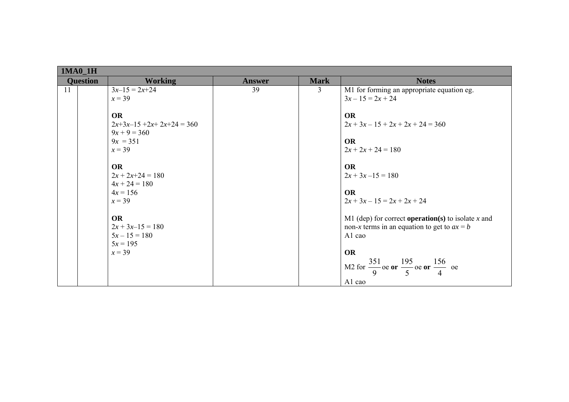|    | 1MA0_1H         |                                                                      |               |             |                                                                                                                       |  |  |  |  |
|----|-----------------|----------------------------------------------------------------------|---------------|-------------|-----------------------------------------------------------------------------------------------------------------------|--|--|--|--|
|    | <b>Question</b> | <b>Working</b>                                                       | <b>Answer</b> | <b>Mark</b> | <b>Notes</b>                                                                                                          |  |  |  |  |
| 11 |                 | $3x-15 = 2x+24$<br>$x = 39$                                          | 39            | 3           | M1 for forming an appropriate equation eg.<br>$3x - 15 = 2x + 24$                                                     |  |  |  |  |
|    |                 | <b>OR</b><br>$2x+3x-15+2x+2x+24=360$<br>$9x + 9 = 360$<br>$9x = 351$ |               |             | <b>OR</b><br>$2x + 3x - 15 + 2x + 2x + 24 = 360$<br><b>OR</b>                                                         |  |  |  |  |
|    |                 | $x = 39$<br><b>OR</b>                                                |               |             | $2x + 2x + 24 = 180$<br><b>OR</b>                                                                                     |  |  |  |  |
|    |                 | $2x + 2x + 24 = 180$<br>$4x + 24 = 180$                              |               |             | $2x + 3x - 15 = 180$                                                                                                  |  |  |  |  |
|    |                 | $4x = 156$<br>$x = 39$                                               |               |             | <b>OR</b><br>$2x + 3x - 15 = 2x + 2x + 24$                                                                            |  |  |  |  |
|    |                 | <b>OR</b><br>$2x + 3x - 15 = 180$<br>$5x - 15 = 180$<br>$5x = 195$   |               |             | M1 (dep) for correct <b>operation</b> (s) to isolate x and<br>non-x terms in an equation to get to $ax = b$<br>A1 cao |  |  |  |  |
|    |                 | $x = 39$                                                             |               |             | <b>OR</b><br>M2 for $\frac{351}{9}$ oe or $\frac{195}{5}$ oe or $\frac{156}{4}$ oe<br>A1 cao                          |  |  |  |  |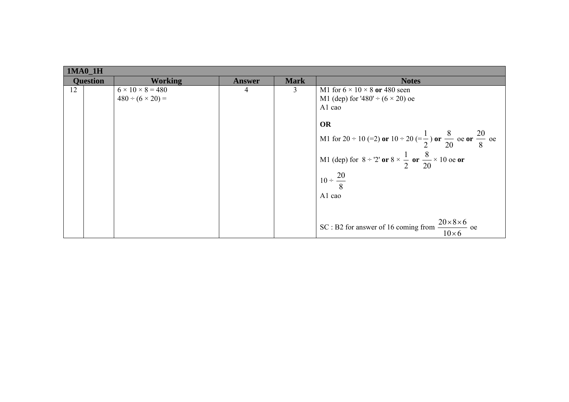|    | <b>1MA0 1H</b>  |                              |               |             |                                                                                                |  |  |  |
|----|-----------------|------------------------------|---------------|-------------|------------------------------------------------------------------------------------------------|--|--|--|
|    | <b>Question</b> | <b>Working</b>               | <b>Answer</b> | <b>Mark</b> | <b>Notes</b>                                                                                   |  |  |  |
| 12 |                 | $6 \times 10 \times 8 = 480$ | 4             | 3           | M1 for $6 \times 10 \times 8$ or 480 seen                                                      |  |  |  |
|    |                 | $480 \div (6 \times 20) =$   |               |             | M1 (dep) for '480' $\div$ (6 $\times$ 20) oe                                                   |  |  |  |
|    |                 |                              |               |             | A1 cao                                                                                         |  |  |  |
|    |                 |                              |               |             |                                                                                                |  |  |  |
|    |                 |                              |               |             | <b>OR</b>                                                                                      |  |  |  |
|    |                 |                              |               |             | M1 for 20 ÷ 10 (=2) or 10 ÷ 20 (= $\frac{1}{2}$ ) or $\frac{8}{20}$ oe or $\frac{20}{8}$ oe    |  |  |  |
|    |                 |                              |               |             | M1 (dep) for $8 \div 2'$ or $8 \times \frac{1}{2}$ or $\frac{8}{20} \times 10$ oe or           |  |  |  |
|    |                 |                              |               |             | $10 \div \frac{20}{8}$                                                                         |  |  |  |
|    |                 |                              |               |             | A1 cao                                                                                         |  |  |  |
|    |                 |                              |               |             |                                                                                                |  |  |  |
|    |                 |                              |               |             | $20\times8\times6$<br>SC: B2 for answer of 16 coming from<br>$\frac{c}{\ }$ oe<br>$10\times 6$ |  |  |  |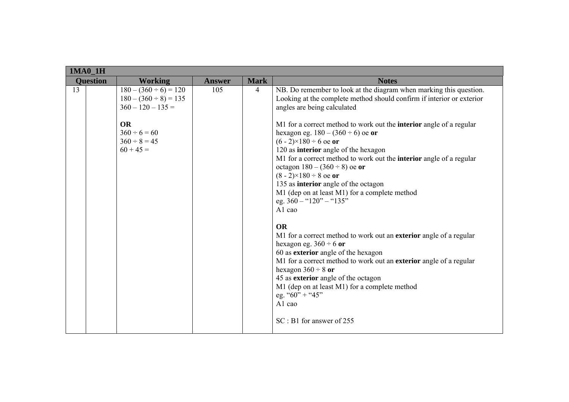|    | <b>1MA0_1H</b>  |                                                                                                                                                       |               |                |                                                                                                                                                                                                                                                                                                                                                                                                                                                                                                                                                                                                                                                                                                                                                                                                                                                                                                                                                                                                                                                                 |
|----|-----------------|-------------------------------------------------------------------------------------------------------------------------------------------------------|---------------|----------------|-----------------------------------------------------------------------------------------------------------------------------------------------------------------------------------------------------------------------------------------------------------------------------------------------------------------------------------------------------------------------------------------------------------------------------------------------------------------------------------------------------------------------------------------------------------------------------------------------------------------------------------------------------------------------------------------------------------------------------------------------------------------------------------------------------------------------------------------------------------------------------------------------------------------------------------------------------------------------------------------------------------------------------------------------------------------|
|    | <b>Ouestion</b> | <b>Working</b>                                                                                                                                        | <b>Answer</b> | <b>Mark</b>    | <b>Notes</b>                                                                                                                                                                                                                                                                                                                                                                                                                                                                                                                                                                                                                                                                                                                                                                                                                                                                                                                                                                                                                                                    |
| 13 |                 | $180 - (360 \div 6) = 120$<br>$180 - (360 \div 8) = 135$<br>$360 - 120 - 135 =$<br><b>OR</b><br>$360 \div 6 = 60$<br>$360 \div 8 = 45$<br>$60 + 45 =$ | 105           | $\overline{4}$ | NB. Do remember to look at the diagram when marking this question.<br>Looking at the complete method should confirm if interior or exterior<br>angles are being calculated<br>M1 for a correct method to work out the <b>interior</b> angle of a regular<br>hexagon eg. $180 - (360 \div 6)$ oe or<br>$(6 - 2) \times 180 \div 6$ oe or<br>120 as interior angle of the hexagon<br>M1 for a correct method to work out the <b>interior</b> angle of a regular<br>octagon $180 - (360 \div 8)$ oe or<br>$(8 - 2) \times 180 \div 8$ oe or<br>135 as interior angle of the octagon<br>M1 (dep on at least M1) for a complete method<br>eg. $360 -$ "120" - "135"<br>A1 cao<br><b>OR</b><br>M1 for a correct method to work out an exterior angle of a regular<br>hexagon eg. $360 \div 6$ or<br>60 as exterior angle of the hexagon<br>M1 for a correct method to work out an exterior angle of a regular<br>hexagon $360 \div 8$ or<br>45 as exterior angle of the octagon<br>M1 (dep on at least M1) for a complete method<br>eg. " $60$ " + " $45$ "<br>A1 cao |
|    |                 |                                                                                                                                                       |               |                | $SC : B1$ for answer of 255                                                                                                                                                                                                                                                                                                                                                                                                                                                                                                                                                                                                                                                                                                                                                                                                                                                                                                                                                                                                                                     |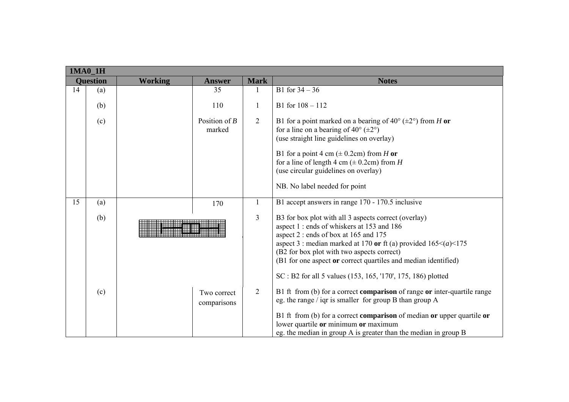|                                                    | 1MA0_1H |                            |                |                                                                                                                                                                                                                                                                                                                                           |
|----------------------------------------------------|---------|----------------------------|----------------|-------------------------------------------------------------------------------------------------------------------------------------------------------------------------------------------------------------------------------------------------------------------------------------------------------------------------------------------|
| <b>Question</b><br><b>Working</b><br><b>Answer</b> |         | <b>Mark</b>                | <b>Notes</b>   |                                                                                                                                                                                                                                                                                                                                           |
| 14                                                 | (a)     | 35                         |                | B1 for $34 - 36$                                                                                                                                                                                                                                                                                                                          |
|                                                    | (b)     | 110                        | 1              | B1 for $108 - 112$                                                                                                                                                                                                                                                                                                                        |
|                                                    | (c)     | Position of $B$<br>marked  | $\overline{2}$ | B1 for a point marked on a bearing of 40 $^{\circ}$ ( $\pm$ 2 $^{\circ}$ ) from H or<br>for a line on a bearing of $40^{\circ}$ ( $\pm 2^{\circ}$ )<br>(use straight line guidelines on overlay)                                                                                                                                          |
|                                                    |         |                            |                | B1 for a point 4 cm ( $\pm$ 0.2cm) from H or<br>for a line of length 4 cm ( $\pm$ 0.2cm) from H<br>(use circular guidelines on overlay)                                                                                                                                                                                                   |
|                                                    |         |                            |                | NB. No label needed for point                                                                                                                                                                                                                                                                                                             |
| 15                                                 | (a)     | 170                        | $\mathbf{1}$   | B1 accept answers in range 170 - 170.5 inclusive                                                                                                                                                                                                                                                                                          |
|                                                    | (b)     |                            |                | B3 for box plot with all 3 aspects correct (overlay)<br>aspect 1 : ends of whiskers at 153 and 186<br>aspect 2 : ends of box at 165 and 175<br>aspect 3 : median marked at 170 or ft (a) provided $165 \leq (a) \leq 175$<br>(B2 for box plot with two aspects correct)<br>(B1 for one aspect or correct quartiles and median identified) |
|                                                    |         |                            |                | SC : B2 for all 5 values (153, 165, '170', 175, 186) plotted                                                                                                                                                                                                                                                                              |
|                                                    | (c)     | Two correct<br>comparisons | $\overline{2}$ | B1 ft from (b) for a correct <b>comparison</b> of range or inter-quartile range<br>eg. the range / iqr is smaller for group B than group A                                                                                                                                                                                                |
|                                                    |         |                            |                | B1 ft from (b) for a correct comparison of median or upper quartile or<br>lower quartile or minimum or maximum<br>eg. the median in group A is greater than the median in group B                                                                                                                                                         |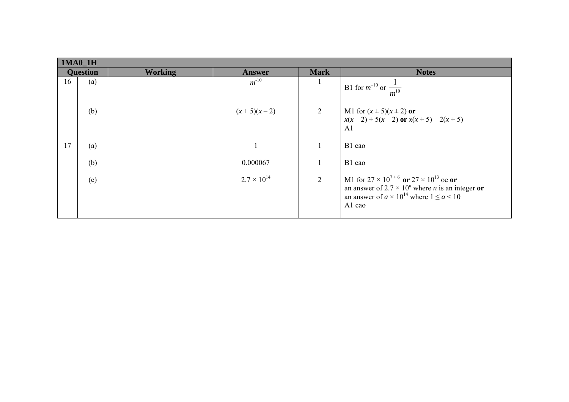|                 | $1MA0_1H$ |                |                      |                |                                                                                                                                                                                                |  |  |  |
|-----------------|-----------|----------------|----------------------|----------------|------------------------------------------------------------------------------------------------------------------------------------------------------------------------------------------------|--|--|--|
| <b>Question</b> |           | <b>Working</b> | <b>Answer</b>        | <b>Mark</b>    | <b>Notes</b>                                                                                                                                                                                   |  |  |  |
| 16              | (a)       |                | $m^{-10}$            |                | B1 for $m^{-10}$ or $\frac{1}{m^{10}}$                                                                                                                                                         |  |  |  |
|                 | (b)       |                | $(x+5)(x-2)$         | 2              | M1 for $(x \pm 5)(x \pm 2)$ or<br>$x(x-2) + 5(x-2)$ or $x(x+5) - 2(x+5)$<br>A <sub>1</sub>                                                                                                     |  |  |  |
| 17              | (a)       |                |                      |                | B1 cao                                                                                                                                                                                         |  |  |  |
|                 | (b)       |                | 0.000067             |                | B1 cao                                                                                                                                                                                         |  |  |  |
|                 | (c)       |                | $2.7 \times 10^{14}$ | $\overline{2}$ | M1 for $27 \times 10^{7+6}$ or $27 \times 10^{13}$ oe or<br>an answer of $2.7 \times 10^n$ where <i>n</i> is an integer or<br>an answer of $a \times 10^{14}$ where $1 \le a \le 10$<br>A1 cao |  |  |  |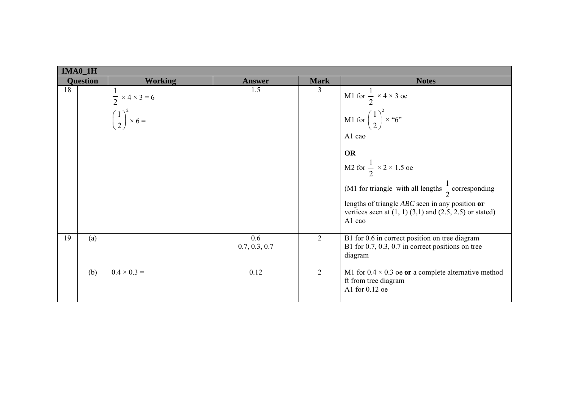|                 | $1MA0_1H$ |                                                                                |                      |                |                                                                                                                                                                                                                                                                                                                                                          |  |  |  |
|-----------------|-----------|--------------------------------------------------------------------------------|----------------------|----------------|----------------------------------------------------------------------------------------------------------------------------------------------------------------------------------------------------------------------------------------------------------------------------------------------------------------------------------------------------------|--|--|--|
| <b>Question</b> |           | <b>Working</b>                                                                 | <b>Answer</b>        | <b>Mark</b>    | <b>Notes</b>                                                                                                                                                                                                                                                                                                                                             |  |  |  |
| 18              |           | $\frac{1}{2} \times 4 \times 3 = 6$<br>$\left(\frac{1}{2}\right)^2 \times 6 =$ | 1.5                  | $\overline{3}$ | M1 for $\frac{1}{2} \times 4 \times 3$ oe<br>M1 for $\left(\frac{1}{2}\right)^2 \times 6$ "<br>A1 cao<br><b>OR</b><br>M2 for $\frac{1}{2} \times 2 \times 1.5$ oe<br>(M1 for triangle with all lengths $\frac{1}{2}$ corresponding<br>lengths of triangle $ABC$ seen in any position or<br>vertices seen at $(1, 1)$ $(3,1)$ and $(2.5, 2.5)$ or stated) |  |  |  |
|                 |           |                                                                                |                      |                | A1 cao                                                                                                                                                                                                                                                                                                                                                   |  |  |  |
| 19              | (a)       |                                                                                | 0.6<br>0.7, 0.3, 0.7 | 2              | B1 for 0.6 in correct position on tree diagram<br>B1 for $0.7, 0.3, 0.7$ in correct positions on tree<br>diagram                                                                                                                                                                                                                                         |  |  |  |
|                 | (b)       | $0.4 \times 0.3 =$                                                             | 0.12                 | $\overline{2}$ | M1 for $0.4 \times 0.3$ oe or a complete alternative method<br>ft from tree diagram<br>A1 for 0.12 oe                                                                                                                                                                                                                                                    |  |  |  |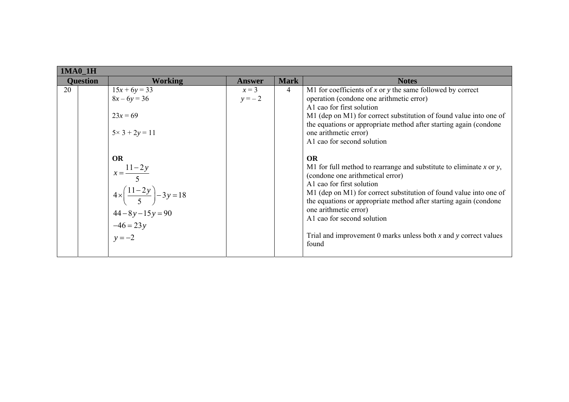| <b>1MA0 1H</b>  |                                                                                                                                    |                   |                |                                                                                                                                                                                                                                                                                                                                                                                                                                     |  |  |
|-----------------|------------------------------------------------------------------------------------------------------------------------------------|-------------------|----------------|-------------------------------------------------------------------------------------------------------------------------------------------------------------------------------------------------------------------------------------------------------------------------------------------------------------------------------------------------------------------------------------------------------------------------------------|--|--|
| <b>Ouestion</b> | <b>Working</b>                                                                                                                     | <b>Answer</b>     | <b>Mark</b>    | <b>Notes</b>                                                                                                                                                                                                                                                                                                                                                                                                                        |  |  |
| 20              | $15x + 6y = 33$<br>$8x - 6y = 36$                                                                                                  | $x=3$<br>$y = -2$ | $\overline{4}$ | M1 for coefficients of $x$ or $y$ the same followed by correct<br>operation (condone one arithmetic error)<br>A1 cao for first solution                                                                                                                                                                                                                                                                                             |  |  |
|                 | $23x = 69$<br>$5 \times 3 + 2y = 11$                                                                                               |                   |                | M1 (dep on M1) for correct substitution of found value into one of<br>the equations or appropriate method after starting again (condone)<br>one arithmetic error)<br>A1 cao for second solution                                                                                                                                                                                                                                     |  |  |
|                 | <b>OR</b><br>$x = \frac{11 - 2y}{5}$<br>$4 \times \left(\frac{11-2y}{5}\right) - 3y = 18$<br>$44-8y-15y=90$<br>-46 = 23y<br>y = -2 |                   |                | OR<br>M1 for full method to rearrange and substitute to eliminate $x$ or $y$ ,<br>(condone one arithmetical error)<br>A1 cao for first solution<br>M1 (dep on M1) for correct substitution of found value into one of<br>the equations or appropriate method after starting again (condone)<br>one arithmetic error)<br>A1 cao for second solution<br>Trial and improvement 0 marks unless both $x$ and $y$ correct values<br>found |  |  |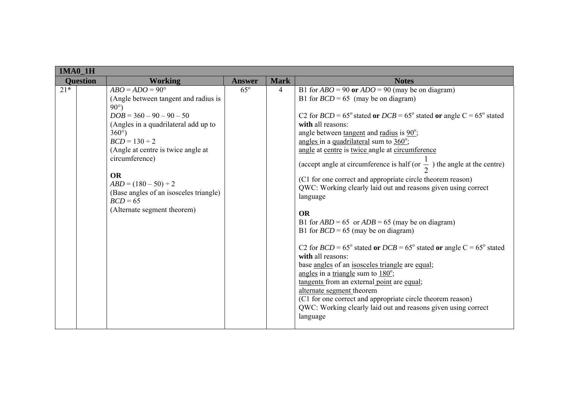| $1MA0_1H$       |                                                                                                                                                                                                                                                                                                                                                                                          |               |             |                                                                                                                                                                                                                                                                                                                                                                                                                                                                                                                                                                                                                                                                                                                                                                                                                                                                                                                                                                                                                                                                                                                                                                      |
|-----------------|------------------------------------------------------------------------------------------------------------------------------------------------------------------------------------------------------------------------------------------------------------------------------------------------------------------------------------------------------------------------------------------|---------------|-------------|----------------------------------------------------------------------------------------------------------------------------------------------------------------------------------------------------------------------------------------------------------------------------------------------------------------------------------------------------------------------------------------------------------------------------------------------------------------------------------------------------------------------------------------------------------------------------------------------------------------------------------------------------------------------------------------------------------------------------------------------------------------------------------------------------------------------------------------------------------------------------------------------------------------------------------------------------------------------------------------------------------------------------------------------------------------------------------------------------------------------------------------------------------------------|
| <b>Question</b> | <b>Working</b>                                                                                                                                                                                                                                                                                                                                                                           | <b>Answer</b> | <b>Mark</b> | <b>Notes</b>                                                                                                                                                                                                                                                                                                                                                                                                                                                                                                                                                                                                                                                                                                                                                                                                                                                                                                                                                                                                                                                                                                                                                         |
| $21*$           | $ABO = ADO = 90^{\circ}$<br>(Angle between tangent and radius is<br>$90^{\circ}$ )<br>$DOB = 360 - 90 - 90 - 50$<br>(Angles in a quadrilateral add up to<br>$360^\circ$ )<br>$BCD = 130 \div 2$<br>(Angle at centre is twice angle at<br>circumference)<br><b>OR</b><br>$ABD = (180 - 50) \div 2$<br>(Base angles of an isosceles triangle)<br>$BCD = 65$<br>(Alternate segment theorem) | $65^\circ$    | 4           | B1 for $ABO = 90$ or $ADO = 90$ (may be on diagram)<br>B1 for $BCD = 65$ (may be on diagram)<br>C2 for $BCD = 65^{\circ}$ stated or $DCB = 65^{\circ}$ stated or angle C = 65° stated<br>with all reasons:<br>angle between <u>tangent</u> and <u>radius</u> is $90^\circ$ ;<br>angles in a quadrilateral sum to $360^\circ$ ;<br>angle at centre is twice angle at circumference<br>(accept angle at circumference is half (or $\frac{1}{2}$ ) the angle at the centre)<br>(C1 for one correct and appropriate circle theorem reason)<br>QWC: Working clearly laid out and reasons given using correct<br>language<br><b>OR</b><br>B1 for $ABD = 65$ or $ADB = 65$ (may be on diagram)<br>B1 for $BCD = 65$ (may be on diagram)<br>C2 for $BCD = 65^{\circ}$ stated or $DCB = 65^{\circ}$ stated or angle C = 65° stated<br>with all reasons:<br>base angles of an isosceles triangle are equal;<br>angles in a triangle sum to $180^\circ$ ;<br>tangents from an external point are equal;<br>alternate segment theorem<br>(C1 for one correct and appropriate circle theorem reason)<br>QWC: Working clearly laid out and reasons given using correct<br>language |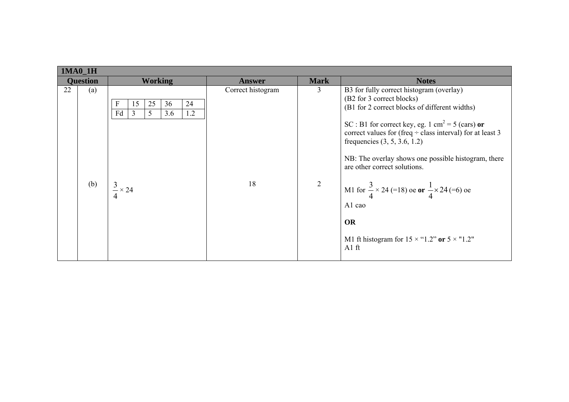| <b>Mark</b><br><b>Working</b><br><b>Question</b><br><b>Notes</b><br><b>Answer</b><br>B3 for fully correct histogram (overlay)<br>22<br>Correct histogram<br>3<br>(a)<br>(B2 for 3 correct blocks)<br>F<br>25<br>36<br>24<br>15<br>(B1 for 2 correct blocks of different widths)<br>Fd<br>5<br>1.2<br>3.6<br>3<br>SC : B1 for correct key, eg. 1 cm <sup>2</sup> = 5 (cars) or<br>correct values for (freq $\div$ class interval) for at least 3<br>frequencies $(3, 5, 3.6, 1.2)$<br>are other correct solutions.<br>$\overline{2}$<br>(b)<br>18<br>$\frac{3}{4} \times 24$<br>M1 for $\frac{3}{4} \times 24$ (=18) oe or $\frac{1}{4} \times 24$ (=6) oe<br>A1 cao<br><b>OR</b> |  | <b>1MA0 1H</b> |  |  |  |                                                     |  |  |  |
|----------------------------------------------------------------------------------------------------------------------------------------------------------------------------------------------------------------------------------------------------------------------------------------------------------------------------------------------------------------------------------------------------------------------------------------------------------------------------------------------------------------------------------------------------------------------------------------------------------------------------------------------------------------------------------|--|----------------|--|--|--|-----------------------------------------------------|--|--|--|
|                                                                                                                                                                                                                                                                                                                                                                                                                                                                                                                                                                                                                                                                                  |  |                |  |  |  |                                                     |  |  |  |
| M1 ft histogram for $15 \times$ "1.2" or $5 \times$ "1.2"<br>$A1$ ft                                                                                                                                                                                                                                                                                                                                                                                                                                                                                                                                                                                                             |  |                |  |  |  | NB: The overlay shows one possible histogram, there |  |  |  |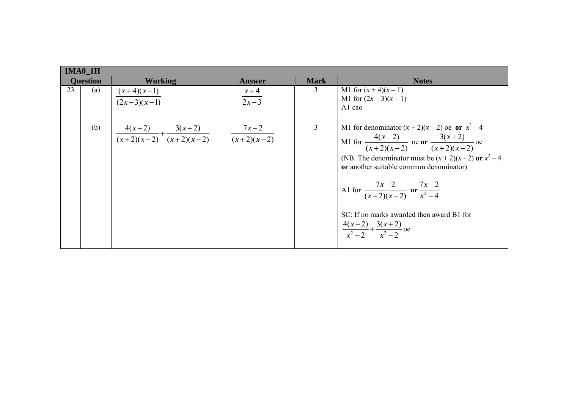| <b>Question</b> | <b>Working</b>                                                                                                      | <b>Answer</b>      | <b>Mark</b>    | <b>Notes</b>                                                                                                                                                                                                                                                                                                                                                                                         |
|-----------------|---------------------------------------------------------------------------------------------------------------------|--------------------|----------------|------------------------------------------------------------------------------------------------------------------------------------------------------------------------------------------------------------------------------------------------------------------------------------------------------------------------------------------------------------------------------------------------------|
| 23<br>(a)       | $\frac{(x+4)(x-1)}{(2x-3)(x-1)}$                                                                                    | $\frac{x+4}{2x-3}$ | 3              | M1 for $(x + 4)(x - 1)$<br>M1 for $(2x-3)(x-1)$<br>A <sub>1</sub> cao                                                                                                                                                                                                                                                                                                                                |
|                 | (b) $\left  \frac{4(x-2)}{(x+2)(x-2)} + \frac{3(x+2)}{(x+2)(x-2)} \right $ $\left  \frac{7x-2}{(x+2)(x-2)} \right $ |                    | $\overline{3}$ | M1 for denominator $(x + 2)(x - 2)$ oe or $x^2 - 4$<br>M1 for $\frac{4(x-2)}{(x+2)(x-2)}$ oe or $\frac{3(x+2)}{(x+2)(x-2)}$ oe<br>(NB. The denominator must be $(x + 2)(x - 2)$ or $x^2 - 4$<br>or another suitable common denominator)<br>Al for $\frac{7x-2}{(x+2)(x-2)}$ or $\frac{7x-2}{x^2-4}$<br>SC: If no marks awarded then award B1 for<br>$\frac{4(x-2)}{x^2-2} + \frac{3(x+2)}{x^2-2}$ oe |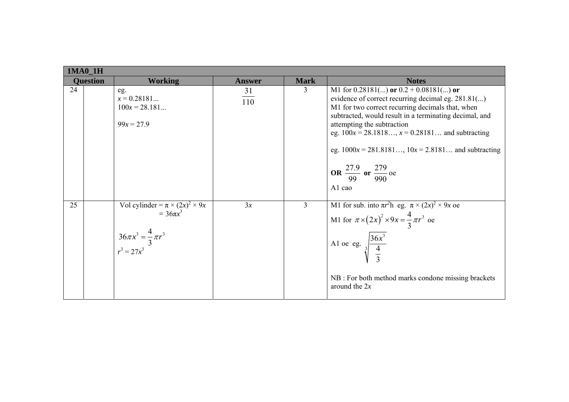|    | $1MA0_1H$       |                                                                                                                    |               |                |                                                                                                                                                                                                                                                                                                                                                                                                                             |  |  |  |
|----|-----------------|--------------------------------------------------------------------------------------------------------------------|---------------|----------------|-----------------------------------------------------------------------------------------------------------------------------------------------------------------------------------------------------------------------------------------------------------------------------------------------------------------------------------------------------------------------------------------------------------------------------|--|--|--|
|    | <b>Question</b> | <b>Working</b>                                                                                                     | <b>Answer</b> | <b>Mark</b>    | <b>Notes</b>                                                                                                                                                                                                                                                                                                                                                                                                                |  |  |  |
| 24 |                 | eg.<br>$x = 0.28181$<br>$100x = 28.181$<br>$99x = 27.9$                                                            | 31<br>110     | 3              | M1 for $0.28181$ () or $0.2 + 0.08181$ () or<br>evidence of correct recurring decimal eg. 281.81()<br>M1 for two correct recurring decimals that, when<br>subtracted, would result in a terminating decimal, and<br>attempting the subtraction<br>eg. $100x = 28.1818$ , $x = 0.28181$ and subtracting<br>eg. $1000x = 281.8181$ , $10x = 2.8181$ and subtracting<br>OR $\frac{27.9}{99}$ or $\frac{279}{990}$ oe<br>A1 cao |  |  |  |
| 25 |                 | Vol cylinder = $\pi \times (2x)^2 \times 9x$<br>= $36\pi x^3$<br>$36\pi x^3 = \frac{4}{3}\pi r^3$<br>$r^3 = 27x^3$ | 3x            | $\overline{3}$ | M1 for sub. into $\pi r^2 h$ eg. $\pi \times (2x)^2 \times 9x$ oe<br>M1 for $\pi \times (2x)^2 \times 9x = \frac{4}{3} \pi r^3$ oe<br>Al oe eg. $\sqrt[3]{\frac{36x^3}{4}}$<br>NB : For both method marks condone missing brackets<br>around the $2x$                                                                                                                                                                       |  |  |  |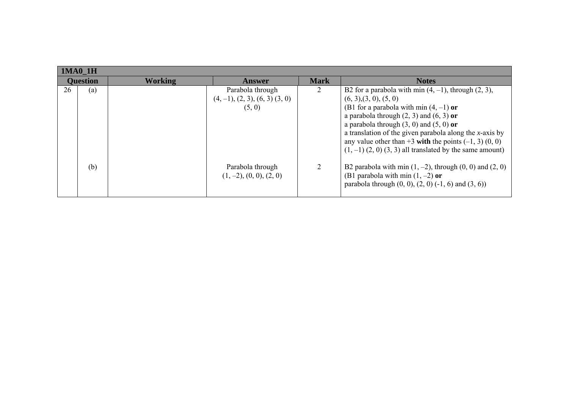|    | $1MA0_1H$       |         |                                                                 |             |                                                                                                                                                                                                                                                                                                                                                                                                                               |
|----|-----------------|---------|-----------------------------------------------------------------|-------------|-------------------------------------------------------------------------------------------------------------------------------------------------------------------------------------------------------------------------------------------------------------------------------------------------------------------------------------------------------------------------------------------------------------------------------|
|    | <b>Question</b> | Working | Answer                                                          | <b>Mark</b> | <b>Notes</b>                                                                                                                                                                                                                                                                                                                                                                                                                  |
| 26 | (a)             |         | Parabola through<br>$(4, -1), (2, 3), (6, 3), (3, 0)$<br>(5, 0) |             | B2 for a parabola with min $(4, -1)$ , through $(2, 3)$ ,<br>(6, 3), (3, 0), (5, 0)<br>(B1 for a parabola with min $(4, -1)$ or<br>a parabola through $(2, 3)$ and $(6, 3)$ or<br>a parabola through $(3, 0)$ and $(5, 0)$ or<br>a translation of the given parabola along the $x$ -axis by<br>any value other than $+3$ with the points $(-1, 3)$ $(0, 0)$<br>$(1, -1)$ $(2, 0)$ $(3, 3)$ all translated by the same amount) |
|    | (b)             |         | Parabola through<br>$(1, -2), (0, 0), (2, 0)$                   |             | B2 parabola with min $(1, -2)$ , through $(0, 0)$ and $(2, 0)$<br>(B1 parabola with min $(1, -2)$ or<br>parabola through $(0, 0)$ , $(2, 0)$ $(-1, 6)$ and $(3, 6)$ )                                                                                                                                                                                                                                                         |